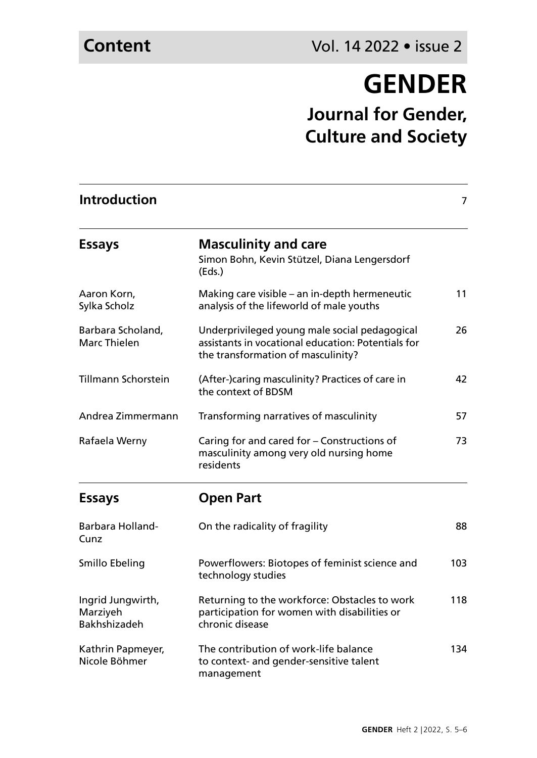## **GENDER**

**Journal for Gender, Culture and Society**

| <b>Introduction</b>                                  |                                                                                                                                           | $\overline{7}$ |
|------------------------------------------------------|-------------------------------------------------------------------------------------------------------------------------------------------|----------------|
| <b>Essays</b>                                        | <b>Masculinity and care</b><br>Simon Bohn, Kevin Stützel, Diana Lengersdorf<br>(Eds.)                                                     |                |
| Aaron Korn,<br>Sylka Scholz                          | Making care visible - an in-depth hermeneutic<br>analysis of the lifeworld of male youths                                                 | 11             |
| Barbara Scholand,<br>Marc Thielen                    | Underprivileged young male social pedagogical<br>assistants in vocational education: Potentials for<br>the transformation of masculinity? | 26             |
| Tillmann Schorstein                                  | (After-)caring masculinity? Practices of care in<br>the context of BDSM                                                                   | 42             |
| Andrea Zimmermann                                    | Transforming narratives of masculinity                                                                                                    | 57             |
| Rafaela Werny                                        | Caring for and cared for – Constructions of<br>masculinity among very old nursing home<br>residents                                       | 73             |
| <b>Essays</b>                                        | <b>Open Part</b>                                                                                                                          |                |
| Barbara Holland-<br>Cunz                             | On the radicality of fragility                                                                                                            | 88             |
| Smillo Ebeling                                       | Powerflowers: Biotopes of feminist science and<br>technology studies                                                                      | 103            |
| Ingrid Jungwirth,<br>Marziyeh<br><b>Bakhshizadeh</b> | Returning to the workforce: Obstacles to work<br>participation for women with disabilities or<br>chronic disease                          | 118            |
| Kathrin Papmeyer,<br>Nicole Böhmer                   | The contribution of work-life balance<br>to context- and gender-sensitive talent<br>management                                            | 134            |